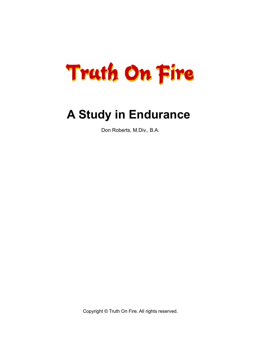

# **A Study in Endurance**

Don Roberts, M.Div., B.A.

Copyright © Truth On Fire. All rights reserved.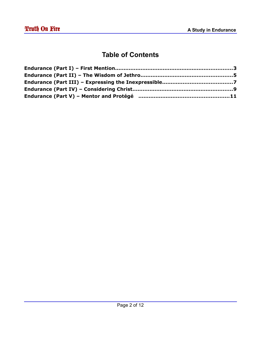#### **Table of Contents**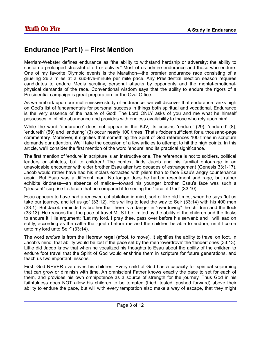## **Endurance (Part I) – First Mention**

Merriam-Webster defines endurance as "the ability to withstand hardship or adversity; the ability to sustain a prolonged stressful effort or activity." Most of us admire endurance and those who endure. One of my favorite Olympic events is the Marathon—the premier endurance race consisting of a grueling 26.2 miles at a sub-five-minute per mile pace. Any Presidential election season requires candidates to endure Media scrutiny, personal attacks by opponents and the mental-emotionalphysical demands of the race. Conventional wisdom says that the ability to endure the rigors of a Presidential campaign is great preparation for the Oval Office.

As we embark upon our multi-missive study of endurance, we will discover that endurance ranks high on God's list of fundamentals for personal success in things both spiritual and vocational. Endurance is the very essence of the nature of God! The Lord ONLY asks of you and me what he himself possesses in infinite abundance and provides with endless availability to those who rely upon him!

While the word 'endurance' does not appear in the KJV, its cousins 'endure' (29), 'endured' (8), 'endureth' (59) and 'enduring' (3) occur nearly 100 times. That's fodder sufficient for a thousand-page commentary. Moreover, it signifies that something the Spirit of God references 100 times in scripture demands our attention. We'll take the occasion of a few articles to attempt to hit the high points. In this article, we'll consider the first mention of the word 'endure' and its practical significance.

The first mention of 'endure' in scripture is an instructive one. The reference is not to soldiers, political leaders or athletes, but to children! The context finds Jacob and his familial entourage in an unavoidable encounter with elder brother Esau after two decades of estrangement (Genesis 33:1-17). Jacob would rather have had his molars extracted with pliers than to face Esau's angry countenance again. But Esau was a different man. No longer does he harbor resentment and rage, but rather exhibits kindness—an absence of malice—toward his younger brother. Esau's face was such a "pleasant" surprise to Jacob that he compared it to seeing the "face of God" (33:10).

Esau appears to have had a renewed cohabitation in mind, sort of like old times, when he says "let us take our journey, and let us go" (33:12). He's willing to lead the way to Seir (33:14) with his 400 men (33:1). But Jacob reminds his brother that there is a danger in "overdriving" the children and the flock (33:13). He reasons that the pace of travel MUST be limited by the ability of the children and the flocks to endure it. His argument: "Let my lord, I pray thee, pass over before his servant: and I will lead on softly, according as the cattle that goeth before me and the children be able to endure, until I come unto my lord unto Seir" (33:14).

The word *endure* is from the Hebrew **regel** (afoot, to move). It signifies the ability to travel on foot. In Jacob's mind, that ability would be lost if the pace set by the men 'overdrove' the 'tender' ones (33:13). Little did Jacob know that when he vocalized his thoughts to Esau about the ability of the children to endure foot travel that the Spirit of God would enshrine them in scripture for future generations, and teach us two important lessons.

First, God NEVER overdrives his children. Every child of God has a capacity for spiritual sojourning that can grow or diminish with time. An omniscient Father knows exactly the pace to set for each of them, and provides his own omnipotence as a source of strength for the journey. Thus God in his faithfulness does NOT allow his children to be tempted (tried, tested, pushed forward) above their ability to endure the pace, but will with every temptation also make a way of escape, that they might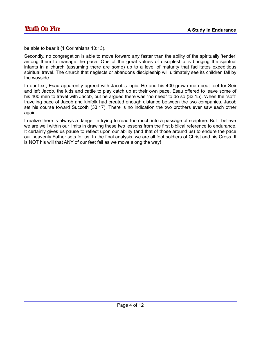be able to bear it (1 Corinthians 10:13).

Secondly, no congregation is able to move forward any faster than the ability of the spiritually 'tender' among them to manage the pace. One of the great values of discipleship is bringing the spiritual infants in a church (assuming there are some) up to a level of maturity that facilitates expeditious spiritual travel. The church that neglects or abandons discipleship will ultimately see its children fall by the wayside.

In our text, Esau apparently agreed with Jacob's logic. He and his 400 grown men beat feet for Seir and left Jacob, the kids and cattle to play catch up at their own pace. Esau offered to leave some of his 400 men to travel with Jacob, but he argued there was "no need" to do so (33:15). When the "soft" traveling pace of Jacob and kinfolk had created enough distance between the two companies, Jacob set his course toward Succoth (33:17). There is no indication the two brothers ever saw each other again.

I realize there is always a danger in trying to read too much into a passage of scripture. But I believe we are well within our limits in drawing these two lessons from the first biblical reference to endurance. It certainly gives us pause to reflect upon our ability (and that of those around us) to endure the pace our heavenly Father sets for us. In the final analysis, we are all foot soldiers of Christ and his Cross. It is NOT his will that ANY of our feet fail as we move along the way!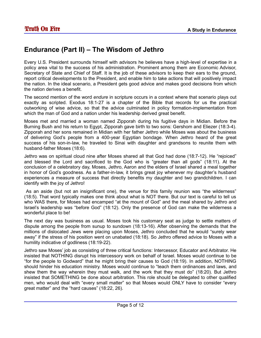## **Endurance (Part II) – The Wisdom of Jethro**

Every U.S. President surrounds himself with advisors he believes have a high-level of expertise in a policy area vital to the success of his administration. Prominent among them are Economic Advisor, Secretary of State and Chief of Staff. It is the job of these advisors to keep their ears to the ground, report critical developments to the President, and enable him to take actions that will positively impact the nation. In the ideal scenario, a President gets good advice and makes good decisions from which the nation derives a benefit.

The second mention of the word *endure* in scripture occurs in a context where that scenario plays out exactly as scripted. Exodus 18:1-27 is a chapter of the Bible that records for us the practical outworking of wise advice, so that the advice culminated in policy formation-implementation from which the man of God and a nation under his leadership derived great benefit.

Moses met and married a woman named Zipporah during his fugitive days in Midian. Before the Burning Bush and his return to Egypt, Zipporah gave birth to two sons: Gershom and Eliezer (18:3-4). Zipporah and her sons remained in Midian with her father Jethro while Moses was about the business of delivering God's people from a 400-year Egyptian bondage. When Jethro heard of the great success of his son-in-law, he traveled to Sinai with daughter and grandsons to reunite them with husband-father Moses (18:6).

Jethro was on spiritual cloud nine after Moses shared all that God had done (18:7-12). He "rejoiced" and blessed the Lord and sacrificed to the God who is "greater than all gods" (18:11). At the conclusion of a celebratory day, Moses, Jethro, Aaron and the elders of Israel shared a meal together in honor of God's goodness. As a father-in-law, it brings great joy whenever my daughter's husband experiences a measure of success that directly benefits my daughter and two grandchildren. I can identify with the joy of Jethro!

 As an aside (but not an insignificant one), the venue for this family reunion was "the wilderness" (18:5). That word typically makes one think about what is NOT there. But our text is careful to tell us who WAS there, for Moses had encamped "at the mount of God" and the meal shared by Jethro and Israel's leadership was "before God" (18:12). Only the presence of God can make the wilderness a wonderful place to be!

The next day was business as usual. Moses took his customary seat as judge to settle matters of dispute among the people from sunup to sundown (18:13-16). After observing the demands that the millions of dislocated Jews were placing upon Moses, Jethro concluded that he would "surely wear away" if the stress of his position went on unabated (18:18). So Jethro offered advice to Moses with a humility indicative of godliness (18:19-22).

Jethro saw Moses' job as consisting of three critical functions: Intercessor, Educator and Arbitrator. He insisted that NOTHING disrupt his intercessory work on behalf of Israel. Moses would continue to be "for the people to Godward" that he might bring their causes to God (18:19). In addition, NOTHING should hinder his education ministry. Moses would continue to "teach them ordinances and laws, and shew them the way wherein they must walk, and the work that they must do" (18:20). But Jethro insisted that SOMETHING be done about arbitration. This role should be delegated to other qualified men, who would deal with "every small matter" so that Moses would ONLY have to consider "every great matter" and the "hard causes" (18:22, 26).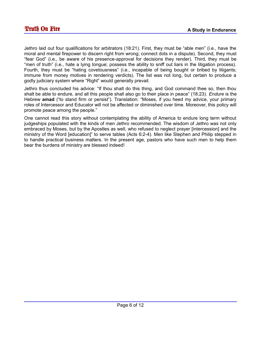Jethro laid out four qualifications for arbitrators (18:21). First, they must be "able men" (i.e., have the moral and mental firepower to discern right from wrong; connect dots in a dispute). Second, they must "fear God" (i.e., be aware of his presence-approval for decisions they render). Third, they must be "men of truth" (i.e., hate a lying tongue; possess the ability to sniff out liars in the litigation process). Fourth, they must be "hating covetousness" (i.e., incapable of being bought or bribed by litigants; immune from money motives in rendering verdicts). The list was not long, but certain to produce a godly judiciary system where "Right" would generally prevail.

Jethro thus concluded his advice: "If thou shalt do this thing, and God command thee so, then thou shalt be able to endure, and all this people shall also go to their place in peace" (18:23). *Endure* is the Hebrew **amad** ("to stand firm or persist"). Translation: "Moses, if you heed my advice, your primary roles of Intercessor and Educator will not be affected or diminished over time. Moreover, this policy will promote peace among the people."

One cannot read this story without contemplating the ability of America to endure long term without judgeships populated with the kinds of men Jethro recommended. The wisdom of Jethro was not only embraced by Moses, but by the Apostles as well, who refused to neglect prayer [intercession] and the ministry of the Word [education]" to serve tables (Acts 6:2-4). Men like Stephen and Philip stepped in to handle practical business matters. In the present age, pastors who have such men to help them bear the burdens of ministry are blessed indeed!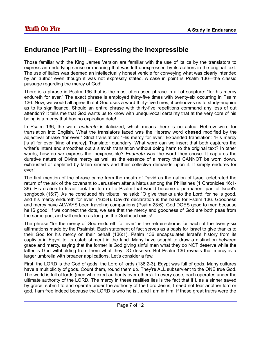#### **Endurance (Part III) – Expressing the Inexpressible**

Those familiar with the King James Version are familiar with the use of italics by the translators to express an underlying sense or meaning that was left unexpressed by its authors in the original text. The use of italics was deemed an intellectually honest vehicle for conveying what was clearly intended by an author even though it was not expressly stated. A case in point is Psalm 136—the classic passage regarding the mercy of God!

There is a phrase in Psalm 136 that is the most often-used phrase in all of scripture: "for his mercy endureth for ever." The exact phrase is employed thirty-five times with twenty-six occurring in Psalm 136. Now, we would all agree that if God uses a word thirty-five times, it behooves us to study-enquire as to its significance. Should an entire phrase with thirty-five repetitions command any less of out attention? It tells me that God wants us to know with unequivocal certainty that at the very core of his being is a mercy that has no expiration date!

In Psalm 136, the word *endureth* is italicized, which means there is no actual Hebrew word for translation into English. What the translators faced was the Hebrew word **chesed** modified by the adjectival phrase "for ever." Strict translation: "His mercy for ever." Expanded translation: "His mercy [is a] for ever [kind of mercy]. Translator quandary: What word can we insert that both captures the writer's intent and smoothes out a slavish translation without doing harm to the original text? In other words, how do we express the inexpressible? *Endureth* was the word they chose. It captures the durative nature of Divine mercy as well as the essence of a mercy that CANNOT be worn down, exhausted or depleted by fallen sinners and their collective demands upon it. It simply endures for ever!

The first mention of the phrase came from the mouth of David as the nation of Israel celebrated the return of the ark of the covenant to Jerusalem after a hiatus among the Philistines (1 Chronicles 16:1- 36). His oration to Israel took the form of a Psalm that would become a permanent part of Israel's songbook (16:7). As he concluded his tribute, he said: "O give thanks unto the Lord; for he is good, and his mercy endureth for ever" (16:34). David's declaration is the basis for Psalm 136. Goodness and mercy have ALWAYS been traveling companions (Psalm 23:6). God DOES good to men because he IS good! If we connect the dots, we see that the mercy and goodness of God are both peas from the same pod, and will endure as long as the Godhead exists!

The phrase "for the mercy of God endureth for ever" is the refrain-chorus for each of the twenty-six affirmations made by the Psalmist. Each statement of fact serves as a basis for Israel to give thanks to their God for his mercy on their behalf (136:1). Psalm 136 encapsulates Israel's history from its captivity in Egypt to its establishment in the land. Many have sought to draw a distinction between grace and mercy, saying that the former is God giving sinful men what they do NOT deserve while the latter is God withholding from them what they DO deserve. But Psalm 136 reveals that mercy is a larger umbrella with broader applications. Let's consider a few.

First, the LORD is the God of gods, the Lord of lords (136:2-3). Egypt was full of gods. Many cultures have a multiplicity of gods. Count them, round them up. They're ALL subservient to the ONE true God. The world is full of lords (men who exert authority over others). In every case, each operates under the ultimate authority of the LORD. The mercy in these realities lies is the fact that if I, as a sinner saved by grace, submit to and operate under the authority of the Lord Jesus, I need not fear another lord or god. I am free indeed because the LORD is who he is…and I am in him! If these great truths were the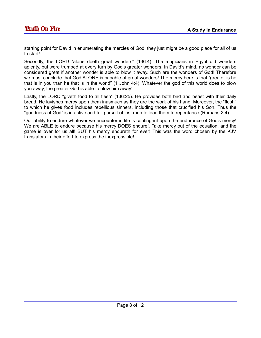starting point for David in enumerating the mercies of God, they just might be a good place for all of us to start!

Secondly, the LORD "alone doeth great wonders" (136:4). The magicians in Egypt did wonders aplenty, but were trumped at every turn by God's greater wonders. In David's mind, no wonder can be considered great if another wonder is able to blow it away. Such are the wonders of God! Therefore we must conclude that God ALONE is capable of great wonders! The mercy here is that "greater is he that is in you than he that is in the world" (1 John 4:4). Whatever the god of this world does to blow you away, the greater God is able to blow him away!

Lastly, the LORD "giveth food to all flesh" (136:25). He provides both bird and beast with their daily bread. He lavishes mercy upon them inasmuch as they are the work of his hand. Moreover, the "flesh" to which he gives food includes rebellious sinners, including those that crucified his Son. Thus the "goodness of God" is in active and full pursuit of lost men to lead them to repentance (Romans 2:4).

Our ability to endure whatever we encounter in life is contingent upon the endurance of God's mercy! We are ABLE to endure because his mercy DOES endure!. Take mercy out of the equation, and the game is over for us all! BUT his mercy endureth for ever! This was the word chosen by the KJV translators in their effort to express the inexpressible!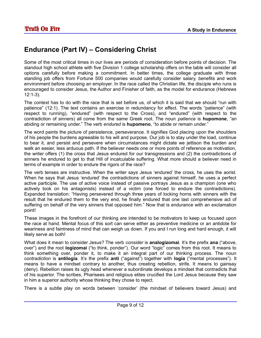## **Endurance (Part IV) – Considering Christ**

Some of the most critical times in our lives are periods of consideration before points of decision. The standout high school athlete with five Division 1 college scholarship offers on the table will consider all options carefully before making a commitment. In better times, the college graduate with three standing job offers from Fortune 500 companies would carefully consider salary, benefits and work environment before choosing an employer. In the race called the Christian life, the disciple who runs is encouraged to consider Jesus, the Author and Finisher of faith, as the model for endurance (Hebrews 12:1-3).

The context has to do with the race that is set before us, of which it is said that we should "run with patience" (12:1). The text contains an exercise in redundancy for effect. The words "patience" (with respect to running), "endured" (with respect to the Cross), and "endured" (with respect to the contradiction of sinners) all come from the same Greek root. The noun *patience* is **hupomone**, "an abiding or remaining under." The verb *endured* is **hupomeno**, "to abide or remain under."

The word paints the picture of persistence, perseverance. It signifies God placing upon the shoulders of his people the burdens agreeable to his will and purpose. Our job is to stay under the load, continue to bear it, and persist and persevere when circumstances might dictate we jettison the burden and walk an easier, less arduous path. If the believer needs one or more points of reference as motivation, the writer offers (1) the cross that Jesus endured for our transgressions and (2) the contradictions of sinners he endured to get to that Hill of incalculable suffering. What more should a believer need in terms of example in order to endure the rigors of the race?

The verb tenses are instructive. When the writer says Jesus 'endured' the cross, he uses the aorist. When he says that Jesus 'endured' the contradictions of sinners against himself, he uses a perfect active participle. The use of active voice instead of passive portrays Jesus as a champion (one who actively took on his antagonists) instead of a victim (one forced to endure the contradictions). Expanded translation: "Having persevered through three years of locking horns with sinners with the result that he endured them to the very end, he finally endured that one last comprehensive act of suffering on behalf of the very sinners that opposed him." Now that is endurance with an exclamation point!

These images in the forefront of our thinking are intended to be motivators to keep us focused upon the race at hand. Mental focus of this sort can serve either as preventive medicine or an antidote for weariness and faintness of mind that can weigh us down. If you and I run long and hard enough, it will likely serve as both!

What does it mean to consider Jesus? The verb *consider* is **analogizomai**. It's the prefix **ana** ("above, over") and the root **logizomai** ("to think, ponder"). Our word "logic" comes from this root. It means to think something over, ponder it, to make it an integral part of our thinking process. The noun *contradiction* is **antilogia**. It's the prefix **anti** ("against") together with **logia** ("mental processes"). It means to have a mindset contrary to another, thus creating rebellion, strife. It means to gainsay (deny). Rebellion raises its ugly head whenever a subordinate develops a mindset that contradicts that of his superior. The scribes, Pharisees and religious elites crucified the Lord Jesus because they saw in him a superior authority whose thinking they chose to reject.

There is a subtle play on words between 'consider' (the mindset of believers toward Jesus) and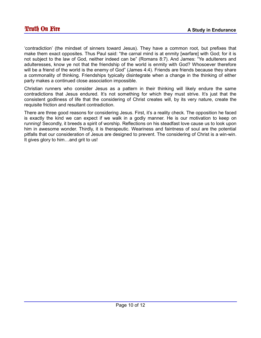'contradiction' (the mindset of sinners toward Jesus). They have a common root, but prefixes that make them exact opposites. Thus Paul said: "the carnal mind is at enmity [warfare] with God; for it is not subject to the law of God, neither indeed can be" (Romans 8:7). And James: "Ye adulterers and adulteresses, know ye not that the friendship of the world is enmity with God? Whosoever therefore will be a friend of the world is the enemy of God" (James 4:4). Friends are friends because they share a commonality of thinking. Friendships typically disintegrate when a change in the thinking of either party makes a continued close association impossible.

Christian runners who consider Jesus as a pattern in their thinking will likely endure the same contradictions that Jesus endured. It's not something for which they must strive. It's just that the consistent godliness of life that the considering of Christ creates will, by its very nature, create the requisite friction and resultant contradiction.

There are three good reasons for considering Jesus. First, it's a reality check. The opposition he faced is exactly the kind we can expect if we walk in a godly manner. He is our motivation to keep on running! Secondly, it breeds a spirit of worship. Reflections on his steadfast love cause us to look upon him in awesome wonder. Thirdly, it is therapeutic. Weariness and faintness of soul are the potential pitfalls that our consideration of Jesus are designed to prevent. The considering of Christ is a win-win. It gives glory to him…and grit to us!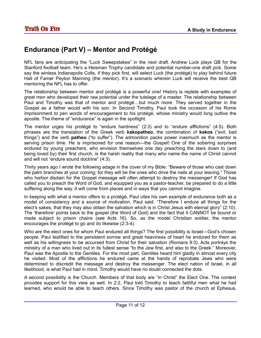## **Endurance (Part V) – Mentor and Protégé**

NFL fans are anticipating the "Luck Sweepstakes" in the next draft. Andrew Luck plays QB for the Stanford football team. He's a Heisman Trophy candidate and potential number-one draft pick. Some say the winless Indianapolis Colts, if they pick first, will select Luck (the protégé) to play behind future Hall of Famer Peyton Manning (the mentor). It's a scenario wherein Luck will receive the best QB mentoring the NFL has to offer.

The relationship between mentor and protégé is a powerful one! History is replete with examples of great men who developed their raw potential under the tutelage of a master. The relationship between Paul and Timothy was that of mentor and protégé…but much more. They served together in the Gospel as a father would with his son. In Second Timothy, Paul took the occasion of his Rome imprisonment to pen words of encouragement to his protégé, whose ministry would long outlive the apostle. The theme of "endurance" is again in the spotlight.

The mentor urges his protégé to "endure hardness" (2:3) and to "endure afflictions" (4:5). Both phrases are the translation of the Greek verb **kakopatheo**, the combination of **kakos** ("evil, bad things") and the verb **patheo** ("to suffer"). The admonition packs power inasmuch as the mentor is serving prison time. He is imprisoned for one reason—the Gospel! One of the sobering surprises endured by young preachers, who envision themselves one day preaching the stars down to (and being loved by) their first church, is the harsh reality that many who name the name of Christ cannot and will not "endure sound doctrine" (4:3).

Thirty years ago I wrote the following adage in the cover of my Bible: "Beware of those who cast down the palm branches at your coming; for they will be the ones who drive the nails at your leaving." Those who harbor disdain for the Gospel message will often attempt to destroy the messenger! If God has called you to preach the Word of God, and equipped you as a pastor-teacher, be prepared to do a little suffering along the way. It will come from places and in ways that you cannot imagine.

In keeping with what a mentor offers to a protégé, Paul cites his own example of endurance both as a model of consistency and a source of motivation. Paul said: "Therefore I endure all things for the elect's sakes, that they may also obtain the salvation which is in Christ Jesus with eternal glory" (2:10). The 'therefore' points back to the gospel (the Word of God) and the fact that it CANNOT be bound or made subject to prison chains (see Acts 16). So, as the model Christian soldier, the mentor encourages the protégé to go and do likewise (2:3-4).

Who are the elect ones for whom Paul endured all things? The first possibility is Israel—God's chosen people. Paul testified to the persistent sorrow and great heaviness of heart he endured for them as well as his willingness to be accursed from Christ for their salvation (Romans 9:3). Acts portrays the ministry of a man who lived out in its fullest sense "to the Jew first, and also to the Greek." Moreover, Paul was the Apostle to the Gentiles. For the most part, Gentiles heard him gladly in almost every city he visited. Most of the afflictions he endured came at the hands of reprobate Jews who were determined to discredit the message and destroy the messenger. The elect nation of Israel, in all likelihood, is what Paul had in mind. Timothy would have no doubt connected the dots.

A second possibility is the Church. Members of that body are "in Christ" the Elect One. The context provides support for this view as well. In 2:2, Paul told Timothy to teach faithful men what he had learned, who would be able to teach others. Since Timothy was pastor of the church at Ephesus,